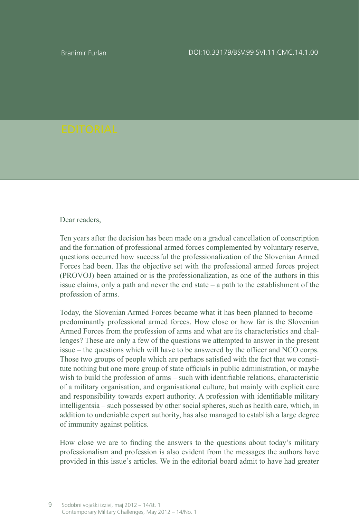Branimir Furlan

## Dear readers.

Ten years after the decision has been made on a gradual cancellation of conscription and the formation of professional armed forces complemented by voluntary reserve, questions occurred how successful the professionalization of the Slovenian Armed Forces had been. Has the objective set with the professional armed forces project (PROVOJ) been attained or is the professionalization, as one of the authors in this issue claims, only a path and never the end state  $-$  a path to the establishment of the profession of arms.

Today, the Slovenian Armed Forces became what it has been planned to become – predominantly professional armed forces. How close or how far is the Slovenian Armed Forces from the profession of arms and what are its characteristics and challenges? These are only a few of the questions we attempted to answer in the present issue – the questions which will have to be answered by the officer and NCO corps. Those two groups of people which are perhaps satisfied with the fact that we constitute nothing but one more group of state officials in public administration, or maybe wish to build the profession of arms – such with identifiable relations, characteristic of a military organisation, and organisational culture, but mainly with explicit care and responsibility towards expert authority. A profession with identifiable military intelligentsia – such possessed by other social spheres, such as health care, which, in addition to undeniable expert authority, has also managed to establish a large degree of immunity against politics.

How close we are to finding the answers to the questions about today's military professionalism and profession is also evident from the messages the authors have provided in this issue's articles. We in the editorial board admit to have had greater